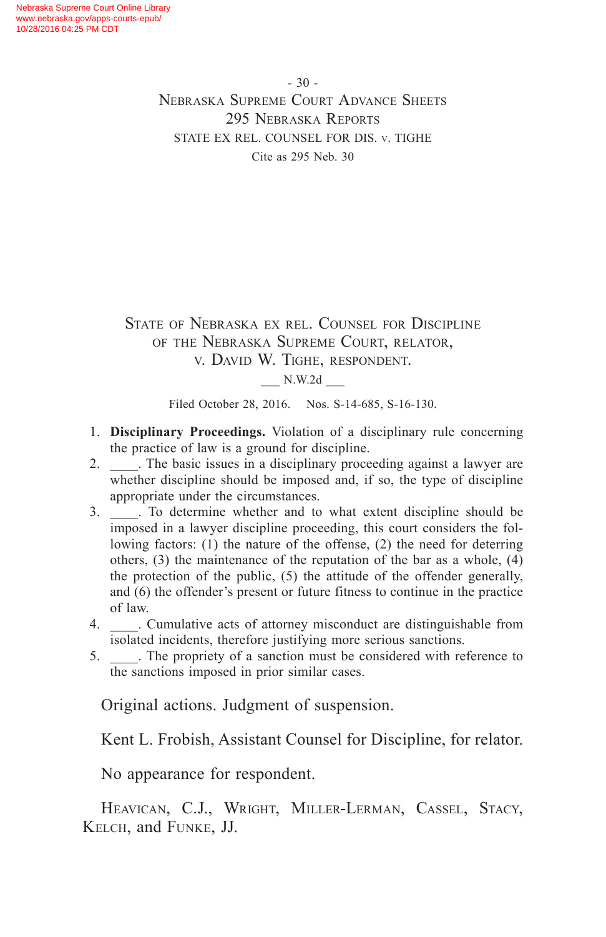- 30 - Nebraska Supreme Court Advance Sheets 295 Nebraska Reports STATE EX REL. COUNSEL FOR DIS. v. TIGHE Cite as 295 Neb. 30

State of Nebraska ex rel. Counsel for Discipline of the Nebraska Supreme Court, relator, v. David W. Tighe, respondent. \_\_\_ N.W.2d \_\_\_

Filed October 28, 2016. Nos. S-14-685, S-16-130.

- 1. **Disciplinary Proceedings.** Violation of a disciplinary rule concerning the practice of law is a ground for discipline.
- 2. The basic issues in a disciplinary proceeding against a lawyer are whether discipline should be imposed and, if so, the type of discipline appropriate under the circumstances.
- 3. \_\_\_\_. To determine whether and to what extent discipline should be imposed in a lawyer discipline proceeding, this court considers the following factors: (1) the nature of the offense, (2) the need for deterring others, (3) the maintenance of the reputation of the bar as a whole, (4) the protection of the public, (5) the attitude of the offender generally, and (6) the offender's present or future fitness to continue in the practice of law.
- 4. \_\_\_\_. Cumulative acts of attorney misconduct are distinguishable from isolated incidents, therefore justifying more serious sanctions.
- 5. \_\_\_\_. The propriety of a sanction must be considered with reference to the sanctions imposed in prior similar cases.

Original actions. Judgment of suspension.

Kent L. Frobish, Assistant Counsel for Discipline, for relator.

No appearance for respondent.

Heavican, C.J., Wright, Miller-Lerman, Cassel, Stacy, Kelch, and Funke, JJ.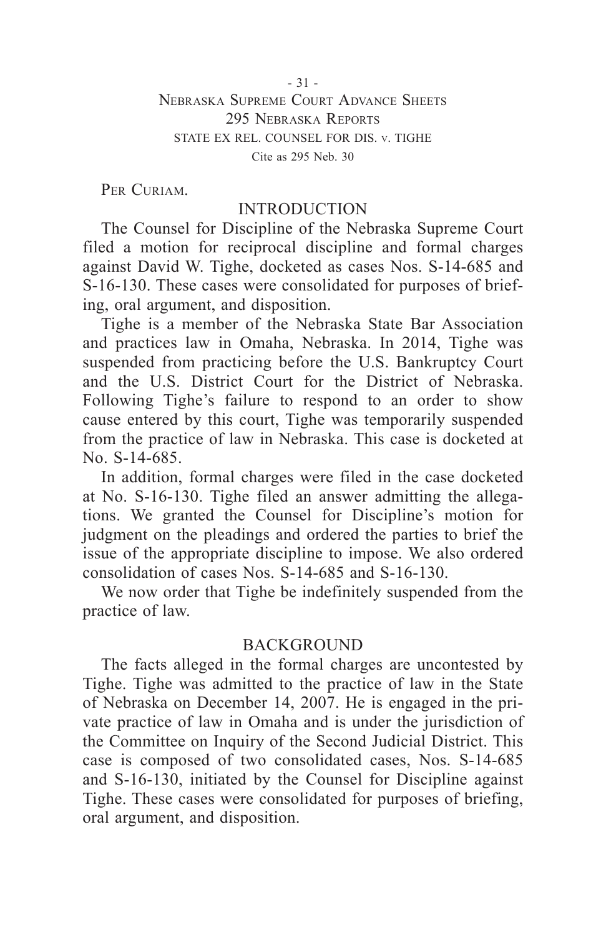PER CURIAM.

## INTRODUCTION

The Counsel for Discipline of the Nebraska Supreme Court filed a motion for reciprocal discipline and formal charges against David W. Tighe, docketed as cases Nos. S-14-685 and S-16-130. These cases were consolidated for purposes of briefing, oral argument, and disposition.

Tighe is a member of the Nebraska State Bar Association and practices law in Omaha, Nebraska. In 2014, Tighe was suspended from practicing before the U.S. Bankruptcy Court and the U.S. District Court for the District of Nebraska. Following Tighe's failure to respond to an order to show cause entered by this court, Tighe was temporarily suspended from the practice of law in Nebraska. This case is docketed at No. S-14-685.

In addition, formal charges were filed in the case docketed at No. S-16-130. Tighe filed an answer admitting the allegations. We granted the Counsel for Discipline's motion for judgment on the pleadings and ordered the parties to brief the issue of the appropriate discipline to impose. We also ordered consolidation of cases Nos. S-14-685 and S-16-130.

We now order that Tighe be indefinitely suspended from the practice of law.

# BACKGROUND

The facts alleged in the formal charges are uncontested by Tighe. Tighe was admitted to the practice of law in the State of Nebraska on December 14, 2007. He is engaged in the private practice of law in Omaha and is under the jurisdiction of the Committee on Inquiry of the Second Judicial District. This case is composed of two consolidated cases, Nos. S-14-685 and S-16-130, initiated by the Counsel for Discipline against Tighe. These cases were consolidated for purposes of briefing, oral argument, and disposition.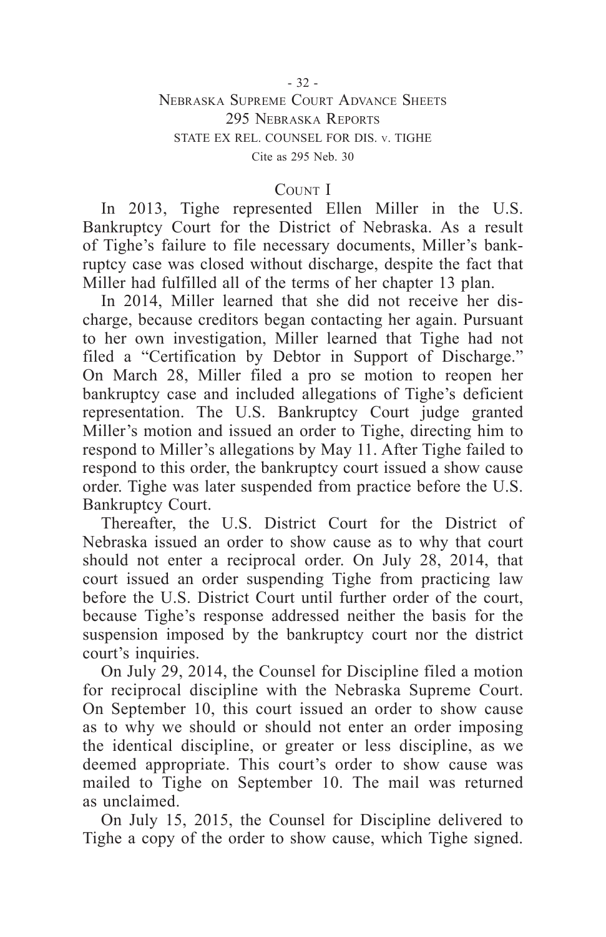#### - 32 -

### Nebraska Supreme Court Advance Sheets 295 Nebraska Reports STATE EX REL. COUNSEL FOR DIS. v. TIGHE Cite as 295 Neb. 30

### COUNT I

In 2013, Tighe represented Ellen Miller in the U.S. Bankruptcy Court for the District of Nebraska. As a result of Tighe's failure to file necessary documents, Miller's bankruptcy case was closed without discharge, despite the fact that Miller had fulfilled all of the terms of her chapter 13 plan.

In 2014, Miller learned that she did not receive her discharge, because creditors began contacting her again. Pursuant to her own investigation, Miller learned that Tighe had not filed a "Certification by Debtor in Support of Discharge." On March 28, Miller filed a pro se motion to reopen her bankruptcy case and included allegations of Tighe's deficient representation. The U.S. Bankruptcy Court judge granted Miller's motion and issued an order to Tighe, directing him to respond to Miller's allegations by May 11. After Tighe failed to respond to this order, the bankruptcy court issued a show cause order. Tighe was later suspended from practice before the U.S. Bankruptcy Court.

Thereafter, the U.S. District Court for the District of Nebraska issued an order to show cause as to why that court should not enter a reciprocal order. On July 28, 2014, that court issued an order suspending Tighe from practicing law before the U.S. District Court until further order of the court, because Tighe's response addressed neither the basis for the suspension imposed by the bankruptcy court nor the district court's inquiries.

On July 29, 2014, the Counsel for Discipline filed a motion for reciprocal discipline with the Nebraska Supreme Court. On September 10, this court issued an order to show cause as to why we should or should not enter an order imposing the identical discipline, or greater or less discipline, as we deemed appropriate. This court's order to show cause was mailed to Tighe on September 10. The mail was returned as unclaimed.

On July 15, 2015, the Counsel for Discipline delivered to Tighe a copy of the order to show cause, which Tighe signed.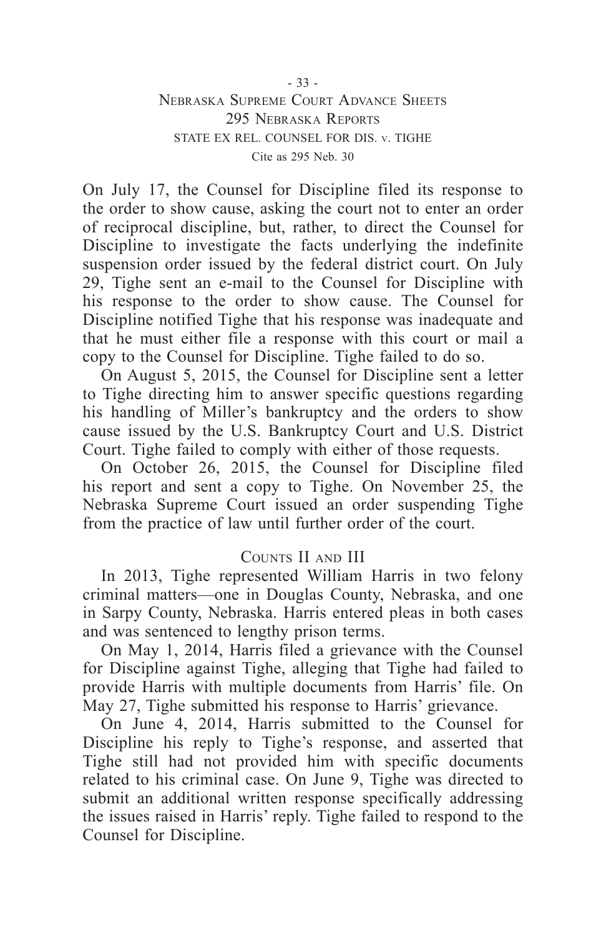STATE EX REL. COUNSEL FOR DIS. v. TIGHE

Cite as 295 Neb. 30

On July 17, the Counsel for Discipline filed its response to the order to show cause, asking the court not to enter an order of reciprocal discipline, but, rather, to direct the Counsel for Discipline to investigate the facts underlying the indefinite suspension order issued by the federal district court. On July 29, Tighe sent an e-mail to the Counsel for Discipline with his response to the order to show cause. The Counsel for Discipline notified Tighe that his response was inadequate and that he must either file a response with this court or mail a copy to the Counsel for Discipline. Tighe failed to do so.

On August 5, 2015, the Counsel for Discipline sent a letter to Tighe directing him to answer specific questions regarding his handling of Miller's bankruptcy and the orders to show cause issued by the U.S. Bankruptcy Court and U.S. District Court. Tighe failed to comply with either of those requests.

On October 26, 2015, the Counsel for Discipline filed his report and sent a copy to Tighe. On November 25, the Nebraska Supreme Court issued an order suspending Tighe from the practice of law until further order of the court.

#### Counts II and III

In 2013, Tighe represented William Harris in two felony criminal matters—one in Douglas County, Nebraska, and one in Sarpy County, Nebraska. Harris entered pleas in both cases and was sentenced to lengthy prison terms.

On May 1, 2014, Harris filed a grievance with the Counsel for Discipline against Tighe, alleging that Tighe had failed to provide Harris with multiple documents from Harris' file. On May 27, Tighe submitted his response to Harris' grievance.

On June 4, 2014, Harris submitted to the Counsel for Discipline his reply to Tighe's response, and asserted that Tighe still had not provided him with specific documents related to his criminal case. On June 9, Tighe was directed to submit an additional written response specifically addressing the issues raised in Harris' reply. Tighe failed to respond to the Counsel for Discipline.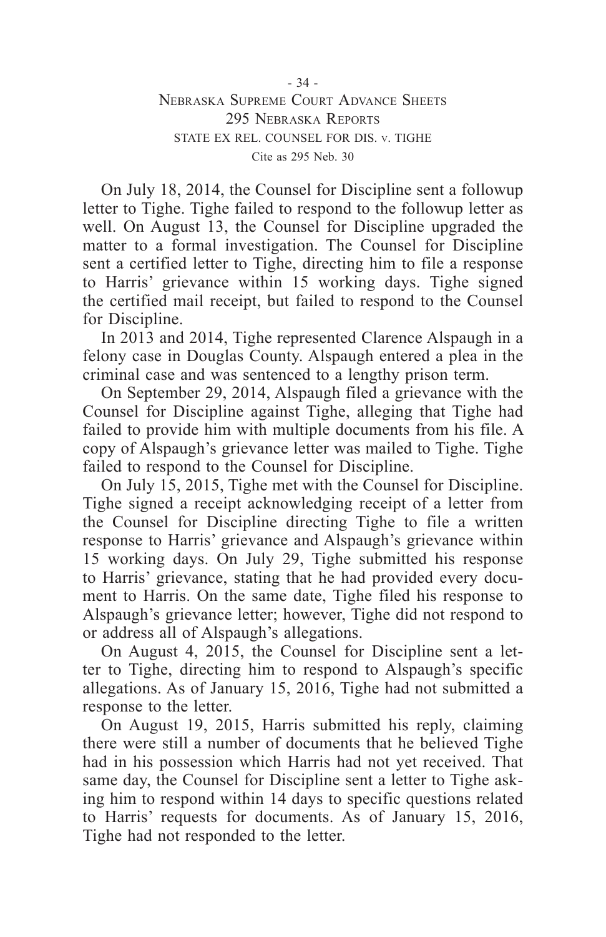Cite as 295 Neb. 30

On July 18, 2014, the Counsel for Discipline sent a followup letter to Tighe. Tighe failed to respond to the followup letter as well. On August 13, the Counsel for Discipline upgraded the matter to a formal investigation. The Counsel for Discipline sent a certified letter to Tighe, directing him to file a response to Harris' grievance within 15 working days. Tighe signed the certified mail receipt, but failed to respond to the Counsel for Discipline.

In 2013 and 2014, Tighe represented Clarence Alspaugh in a felony case in Douglas County. Alspaugh entered a plea in the criminal case and was sentenced to a lengthy prison term.

On September 29, 2014, Alspaugh filed a grievance with the Counsel for Discipline against Tighe, alleging that Tighe had failed to provide him with multiple documents from his file. A copy of Alspaugh's grievance letter was mailed to Tighe. Tighe failed to respond to the Counsel for Discipline.

On July 15, 2015, Tighe met with the Counsel for Discipline. Tighe signed a receipt acknowledging receipt of a letter from the Counsel for Discipline directing Tighe to file a written response to Harris' grievance and Alspaugh's grievance within 15 working days. On July 29, Tighe submitted his response to Harris' grievance, stating that he had provided every document to Harris. On the same date, Tighe filed his response to Alspaugh's grievance letter; however, Tighe did not respond to or address all of Alspaugh's allegations.

On August 4, 2015, the Counsel for Discipline sent a letter to Tighe, directing him to respond to Alspaugh's specific allegations. As of January 15, 2016, Tighe had not submitted a response to the letter.

On August 19, 2015, Harris submitted his reply, claiming there were still a number of documents that he believed Tighe had in his possession which Harris had not yet received. That same day, the Counsel for Discipline sent a letter to Tighe asking him to respond within 14 days to specific questions related to Harris' requests for documents. As of January 15, 2016, Tighe had not responded to the letter.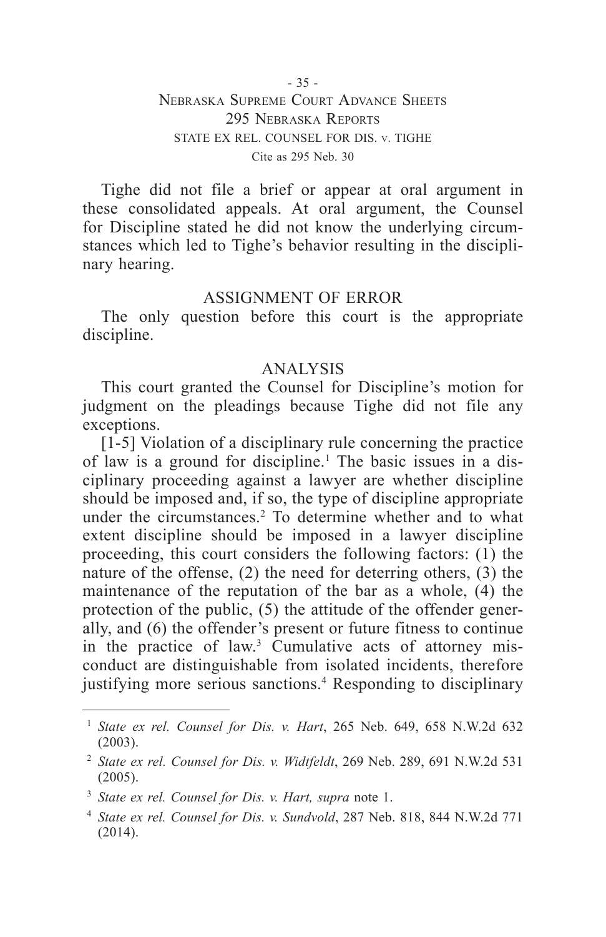Tighe did not file a brief or appear at oral argument in these consolidated appeals. At oral argument, the Counsel for Discipline stated he did not know the underlying circumstances which led to Tighe's behavior resulting in the disciplinary hearing.

### ASSIGNMENT OF ERROR

The only question before this court is the appropriate discipline.

## ANALYSIS

This court granted the Counsel for Discipline's motion for judgment on the pleadings because Tighe did not file any exceptions.

[1-5] Violation of a disciplinary rule concerning the practice of law is a ground for discipline.<sup>1</sup> The basic issues in a disciplinary proceeding against a lawyer are whether discipline should be imposed and, if so, the type of discipline appropriate under the circumstances.<sup>2</sup> To determine whether and to what extent discipline should be imposed in a lawyer discipline proceeding, this court considers the following factors: (1) the nature of the offense, (2) the need for deterring others, (3) the maintenance of the reputation of the bar as a whole, (4) the protection of the public, (5) the attitude of the offender generally, and (6) the offender's present or future fitness to continue in the practice of law.<sup>3</sup> Cumulative acts of attorney misconduct are distinguishable from isolated incidents, therefore justifying more serious sanctions.<sup>4</sup> Responding to disciplinary

<sup>1</sup> *State ex rel. Counsel for Dis. v. Hart*, 265 Neb. 649, 658 N.W.2d 632 (2003).

<sup>2</sup> *State ex rel. Counsel for Dis. v. Widtfeldt*, 269 Neb. 289, 691 N.W.2d 531 (2005).

<sup>3</sup> *State ex rel. Counsel for Dis. v. Hart, supra* note 1.

<sup>4</sup> *State ex rel. Counsel for Dis. v. Sundvold*, 287 Neb. 818, 844 N.W.2d 771 (2014).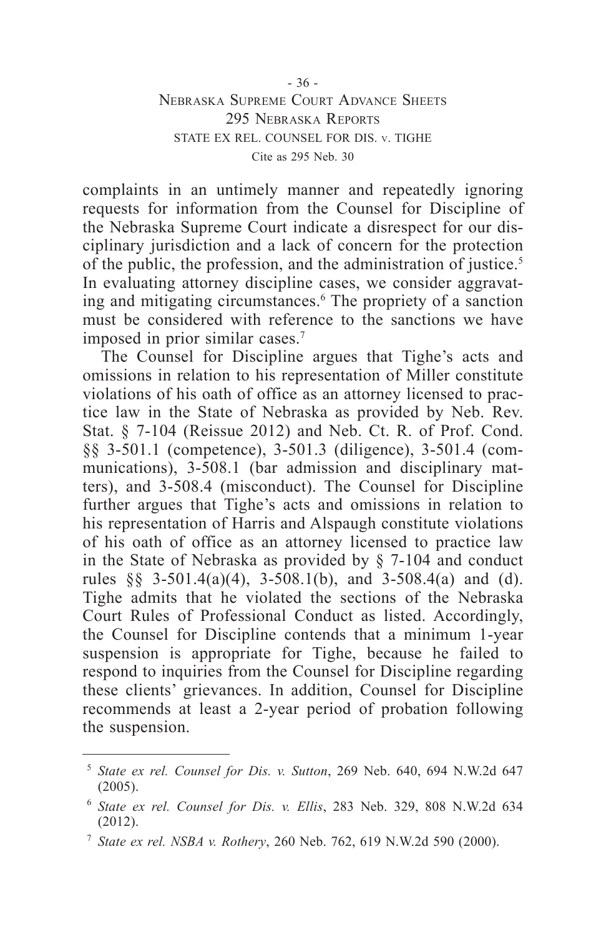complaints in an untimely manner and repeatedly ignoring requests for information from the Counsel for Discipline of the Nebraska Supreme Court indicate a disrespect for our disciplinary jurisdiction and a lack of concern for the protection of the public, the profession, and the administration of justice.<sup>5</sup> In evaluating attorney discipline cases, we consider aggravating and mitigating circumstances.<sup>6</sup> The propriety of a sanction must be considered with reference to the sanctions we have imposed in prior similar cases.7

The Counsel for Discipline argues that Tighe's acts and omissions in relation to his representation of Miller constitute violations of his oath of office as an attorney licensed to practice law in the State of Nebraska as provided by Neb. Rev. Stat. § 7-104 (Reissue 2012) and Neb. Ct. R. of Prof. Cond. §§ 3-501.1 (competence), 3-501.3 (diligence), 3-501.4 (communications), 3-508.1 (bar admission and disciplinary matters), and 3-508.4 (misconduct). The Counsel for Discipline further argues that Tighe's acts and omissions in relation to his representation of Harris and Alspaugh constitute violations of his oath of office as an attorney licensed to practice law in the State of Nebraska as provided by § 7-104 and conduct rules  $\S$  3-501.4(a)(4), 3-508.1(b), and 3-508.4(a) and (d). Tighe admits that he violated the sections of the Nebraska Court Rules of Professional Conduct as listed. Accordingly, the Counsel for Discipline contends that a minimum 1-year suspension is appropriate for Tighe, because he failed to respond to inquiries from the Counsel for Discipline regarding these clients' grievances. In addition, Counsel for Discipline recommends at least a 2-year period of probation following the suspension.

<sup>5</sup> *State ex rel. Counsel for Dis. v. Sutton*, 269 Neb. 640, 694 N.W.2d 647 (2005).

<sup>6</sup> *State ex rel. Counsel for Dis. v. Ellis*, 283 Neb. 329, 808 N.W.2d 634  $(2012)$ .

<sup>7</sup> *State ex rel. NSBA v. Rothery*, 260 Neb. 762, 619 N.W.2d 590 (2000).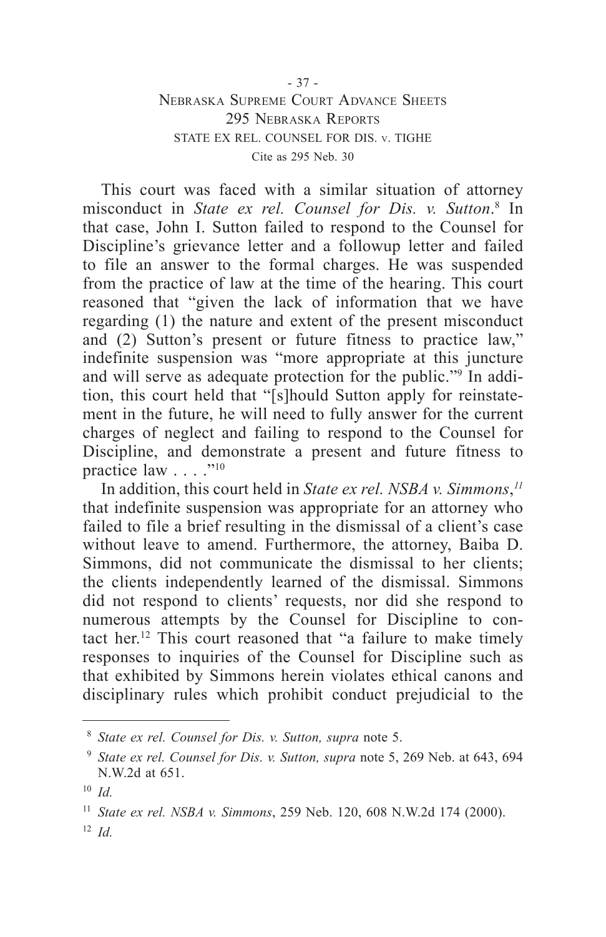## Nebraska Supreme Court Advance Sheets 295 Nebraska Reports STATE EX REL. COUNSEL FOR DIS. v. TIGHE Cite as 295 Neb. 30

This court was faced with a similar situation of attorney misconduct in *State ex rel. Counsel for Dis. v. Sutton*. 8 In that case, John I. Sutton failed to respond to the Counsel for Discipline's grievance letter and a followup letter and failed to file an answer to the formal charges. He was suspended from the practice of law at the time of the hearing. This court reasoned that "given the lack of information that we have regarding (1) the nature and extent of the present misconduct and (2) Sutton's present or future fitness to practice law," indefinite suspension was "more appropriate at this juncture and will serve as adequate protection for the public."9 In addition, this court held that "[s]hould Sutton apply for reinstatement in the future, he will need to fully answer for the current charges of neglect and failing to respond to the Counsel for Discipline, and demonstrate a present and future fitness to practice law  $\ldots$ ."10

In addition, this court held in *State ex rel. NSBA v. Simmons*, *11* that indefinite suspension was appropriate for an attorney who failed to file a brief resulting in the dismissal of a client's case without leave to amend. Furthermore, the attorney, Baiba D. Simmons, did not communicate the dismissal to her clients; the clients independently learned of the dismissal. Simmons did not respond to clients' requests, nor did she respond to numerous attempts by the Counsel for Discipline to contact her.12 This court reasoned that "a failure to make timely responses to inquiries of the Counsel for Discipline such as that exhibited by Simmons herein violates ethical canons and disciplinary rules which prohibit conduct prejudicial to the

<sup>8</sup> *State ex rel. Counsel for Dis. v. Sutton, supra* note 5.

<sup>9</sup> *State ex rel. Counsel for Dis. v. Sutton, supra* note 5, 269 Neb. at 643, 694 N.W.2d at 651.

<sup>10</sup> *Id.*

<sup>11</sup> *State ex rel. NSBA v. Simmons*, 259 Neb. 120, 608 N.W.2d 174 (2000).

<sup>12</sup> *Id.*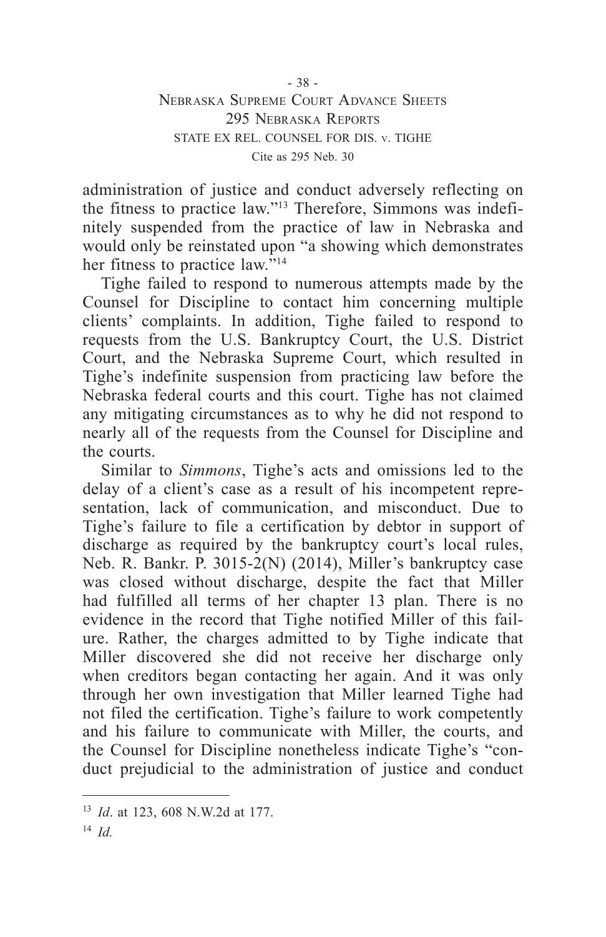administration of justice and conduct adversely reflecting on the fitness to practice law."13 Therefore, Simmons was indefinitely suspended from the practice of law in Nebraska and would only be reinstated upon "a showing which demonstrates her fitness to practice law."<sup>14</sup>

Tighe failed to respond to numerous attempts made by the Counsel for Discipline to contact him concerning multiple clients' complaints. In addition, Tighe failed to respond to requests from the U.S. Bankruptcy Court, the U.S. District Court, and the Nebraska Supreme Court, which resulted in Tighe's indefinite suspension from practicing law before the Nebraska federal courts and this court. Tighe has not claimed any mitigating circumstances as to why he did not respond to nearly all of the requests from the Counsel for Discipline and the courts.

Similar to *Simmons*, Tighe's acts and omissions led to the delay of a client's case as a result of his incompetent representation, lack of communication, and misconduct. Due to Tighe's failure to file a certification by debtor in support of discharge as required by the bankruptcy court's local rules, Neb. R. Bankr. P. 3015-2(N) (2014), Miller's bankruptcy case was closed without discharge, despite the fact that Miller had fulfilled all terms of her chapter 13 plan. There is no evidence in the record that Tighe notified Miller of this failure. Rather, the charges admitted to by Tighe indicate that Miller discovered she did not receive her discharge only when creditors began contacting her again. And it was only through her own investigation that Miller learned Tighe had not filed the certification. Tighe's failure to work competently and his failure to communicate with Miller, the courts, and the Counsel for Discipline nonetheless indicate Tighe's "conduct prejudicial to the administration of justice and conduct

<sup>13</sup> *Id*. at 123, 608 N.W.2d at 177.

<sup>14</sup> *Id.*